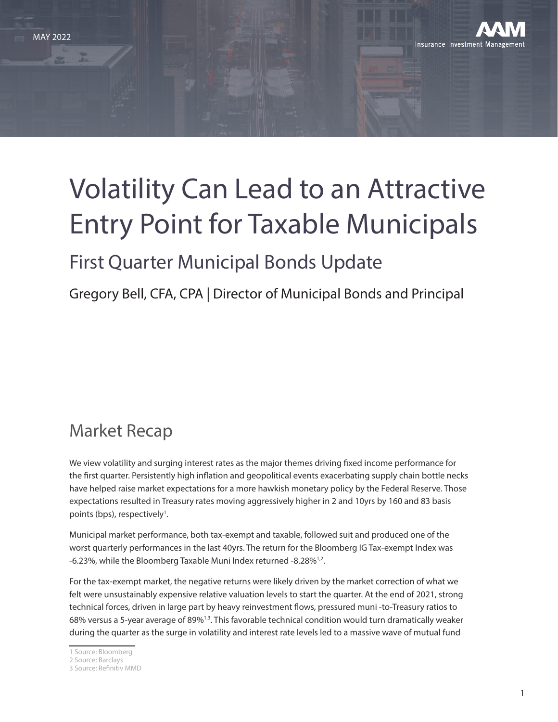

# Volatility Can Lead to an Attractive Entry Point for Taxable Municipals

## First Quarter Municipal Bonds Update

Gregory Bell, CFA, CPA | Director of Municipal Bonds and Principal

### Market Recap

We view volatility and surging interest rates as the major themes driving fixed income performance for the first quarter. Persistently high inflation and geopolitical events exacerbating supply chain bottle necks have helped raise market expectations for a more hawkish monetary policy by the Federal Reserve. Those expectations resulted in Treasury rates moving aggressively higher in 2 and 10yrs by 160 and 83 basis points (bps), respectively<sup>1</sup>.

Municipal market performance, both tax-exempt and taxable, followed suit and produced one of the worst quarterly performances in the last 40yrs. The return for the Bloomberg IG Tax-exempt Index was -6.23%, while the Bloomberg Taxable Muni Index returned -8.28%<sup>1,2</sup>.

For the tax-exempt market, the negative returns were likely driven by the market correction of what we felt were unsustainably expensive relative valuation levels to start the quarter. At the end of 2021, strong technical forces, driven in large part by heavy reinvestment flows, pressured muni -to-Treasury ratios to 68% versus a 5-year average of 89%<sup>1,3</sup>. This favorable technical condition would turn dramatically weaker during the quarter as the surge in volatility and interest rate levels led to a massive wave of mutual fund

<sup>1</sup> Source: Bloomberg

<sup>2</sup> Source: Barclays

<sup>3</sup> Source: Refinitiv MMD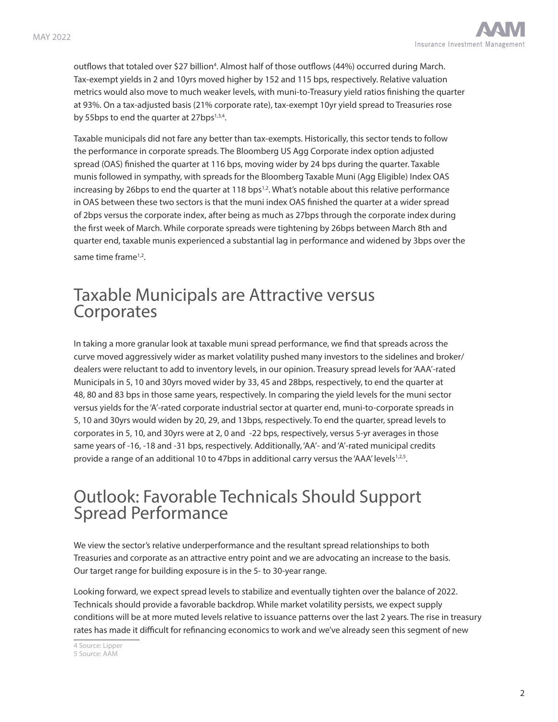outflows that totaled over \$27 billion<sup>4</sup>. Almost half of those outflows (44%) occurred during March. Tax-exempt yields in 2 and 10yrs moved higher by 152 and 115 bps, respectively. Relative valuation metrics would also move to much weaker levels, with muni-to-Treasury yield ratios finishing the quarter at 93%. On a tax-adjusted basis (21% corporate rate), tax-exempt 10yr yield spread to Treasuries rose by 55bps to end the quarter at 27bps $^{1,3,4}$ .

Taxable municipals did not fare any better than tax-exempts. Historically, this sector tends to follow the performance in corporate spreads. The Bloomberg US Agg Corporate index option adjusted spread (OAS) finished the quarter at 116 bps, moving wider by 24 bps during the quarter. Taxable munis followed in sympathy, with spreads for the Bloomberg Taxable Muni (Agg Eligible) Index OAS increasing by 26bps to end the quarter at 118 bps<sup>1,2</sup>. What's notable about this relative performance in OAS between these two sectors is that the muni index OAS finished the quarter at a wider spread of 2bps versus the corporate index, after being as much as 27bps through the corporate index during the first week of March. While corporate spreads were tightening by 26bps between March 8th and quarter end, taxable munis experienced a substantial lag in performance and widened by 3bps over the same time frame<sup>1,2</sup>.

#### Taxable Municipals are Attractive versus **Corporates**

In taking a more granular look at taxable muni spread performance, we find that spreads across the curve moved aggressively wider as market volatility pushed many investors to the sidelines and broker/ dealers were reluctant to add to inventory levels, in our opinion. Treasury spread levels for 'AAA'-rated Municipals in 5, 10 and 30yrs moved wider by 33, 45 and 28bps, respectively, to end the quarter at 48, 80 and 83 bps in those same years, respectively. In comparing the yield levels for the muni sector versus yields for the 'A'-rated corporate industrial sector at quarter end, muni-to-corporate spreads in 5, 10 and 30yrs would widen by 20, 29, and 13bps, respectively. To end the quarter, spread levels to corporates in 5, 10, and 30yrs were at 2, 0 and -22 bps, respectively, versus 5-yr averages in those same years of -16, -18 and -31 bps, respectively. Additionally, 'AA'- and 'A'-rated municipal credits provide a range of an additional 10 to 47bps in additional carry versus the 'AAA' levels<sup>1,2,5</sup>.

#### Outlook: Favorable Technicals Should Support Spread Performance

We view the sector's relative underperformance and the resultant spread relationships to both Treasuries and corporate as an attractive entry point and we are advocating an increase to the basis. Our target range for building exposure is in the 5- to 30-year range.

Looking forward, we expect spread levels to stabilize and eventually tighten over the balance of 2022. Technicals should provide a favorable backdrop. While market volatility persists, we expect supply conditions will be at more muted levels relative to issuance patterns over the last 2 years. The rise in treasury rates has made it difficult for refinancing economics to work and we've already seen this segment of new

4 Source: Lipper

<sup>5</sup> Source: AAM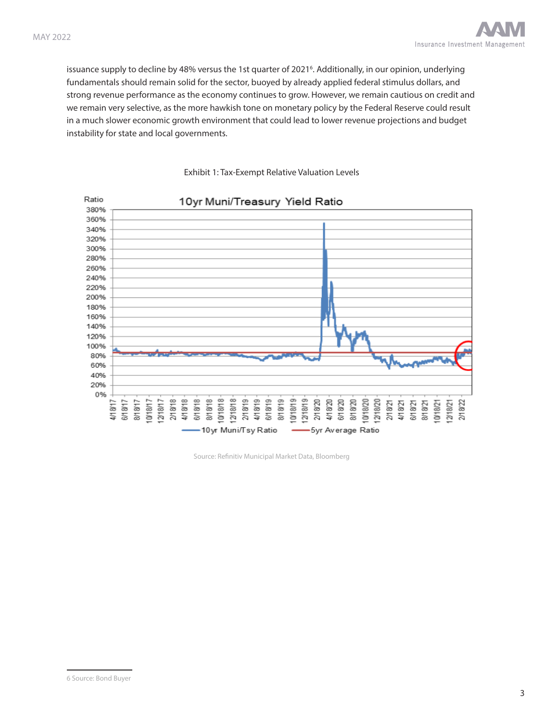issuance supply to decline by 48% versus the 1st quarter of 20216 . Additionally, in our opinion, underlying fundamentals should remain solid for the sector, buoyed by already applied federal stimulus dollars, and strong revenue performance as the economy continues to grow. However, we remain cautious on credit and we remain very selective, as the more hawkish tone on monetary policy by the Federal Reserve could result in a much slower economic growth environment that could lead to lower revenue projections and budget instability for state and local governments.



Exhibit 1: Tax-Exempt Relative Valuation Levels

Source: Refinitiv Municipal Market Data, Bloomberg

<sup>6</sup> Source: Bond Buyer